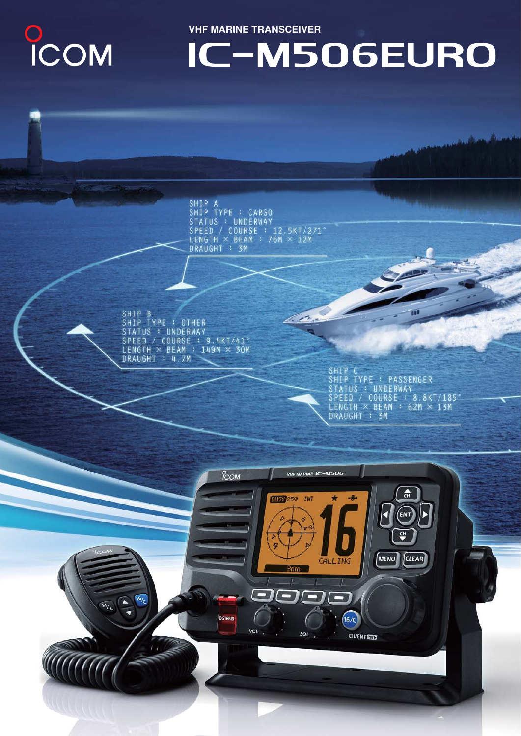# COM

**VHF MARINE TRANSCEIVER** 

## IC-M506EURO

SHIP A SHIP TYPE : CARGO<br>STATUS : UNDERWAY<br>SPEED / COURSE : 12.5KT/271\*<br>LENGTH × BEAM : 76M × 12M<br>DRAUGHT : 3M

 $\overline{\phantom{a}}$ 

SHIP B<br>SHIP TYPE : OTHER<br>STATUS : UNDERWAY STATUS . UNDERNAT<br>SPEED / COURSE : 9.4KT/41°<br>LENGTH × BEAM : 149M × 30M<br>DRAUGHT : 4.7M

SHIP C<br>SHIP TYPE : PASSENGER<br>STATUS : UNDERWAY<br>SPEED / COURSE : 8.8KT/185°<br>LENGTH × BEAM : 62M × 13M<br>DRAUGHT : 3M

πī

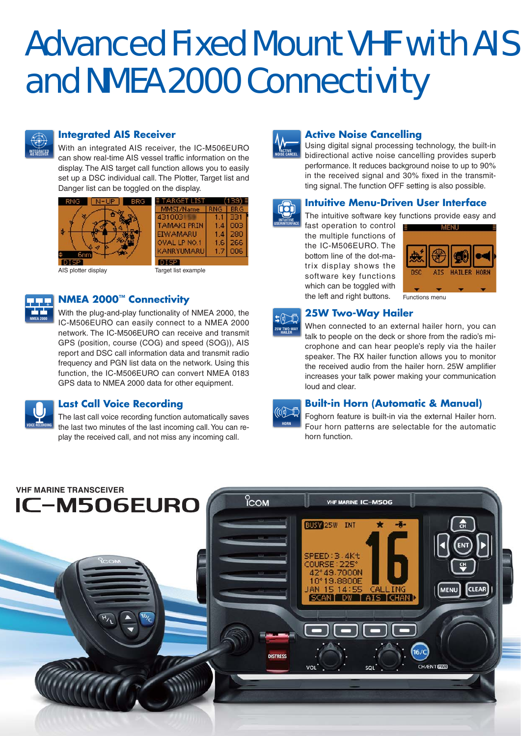## Advanced Fixed Mount VHF with AIS and NMEA 2000 Connectivity



## **Integrated AIS Receiver**

With an integrated AIS receiver, the IC-M506EURO can show real-time AIS vessel traffic information on the display. The AIS target call function allows you to easily set up a DSC individual call. The Plotter, Target list and Danger list can be toggled on the display.



AIS plotter display Target list example

## **NMEA 2000™ Connectivity**

With the plug-and-play functionality of NMEA 2000, the IC-M506EURO can easily connect to a NMEA 2000 network. The IC-M506EURO can receive and transmit GPS (position, course (COG) and speed (SOG)), AIS report and DSC call information data and transmit radio frequency and PGN list data on the network. Using this function, the IC-M506EURO can convert NMEA 0183 GPS data to NMEA 2000 data for other equipment.



**NMEA 2000** 

## **Last Call Voice Recording**

The last call voice recording function automatically saves the last two minutes of the last incoming call. You can replay the received call, and not miss any incoming call.



## **Active Noise Cancelling**

Using digital signal processing technology, the built-in bidirectional active noise cancelling provides superb performance. It reduces background noise to up to 90% in the received signal and 30% fixed in the transmitting signal. The function OFF setting is also possible.



## **Intuitive Menu-Driven User Interface**

The intuitive software key functions provide easy and

fast operation to control the multiple functions of the IC-M506EURO. The bottom line of the dot-matrix display shows the software key functions which can be toggled with the left and right buttons.





## **25W Two-Way Hailer**

When connected to an external hailer horn, you can talk to people on the deck or shore from the radio's microphone and can hear people's reply via the hailer speaker. The RX hailer function allows you to monitor the received audio from the hailer horn. 25W amplifier increases your talk power making your communication loud and clear.



## **Built-in Horn (Automatic & Manual)**

Foghorn feature is built-in via the external Hailer horn. Four horn patterns are selectable for the automatic horn function.

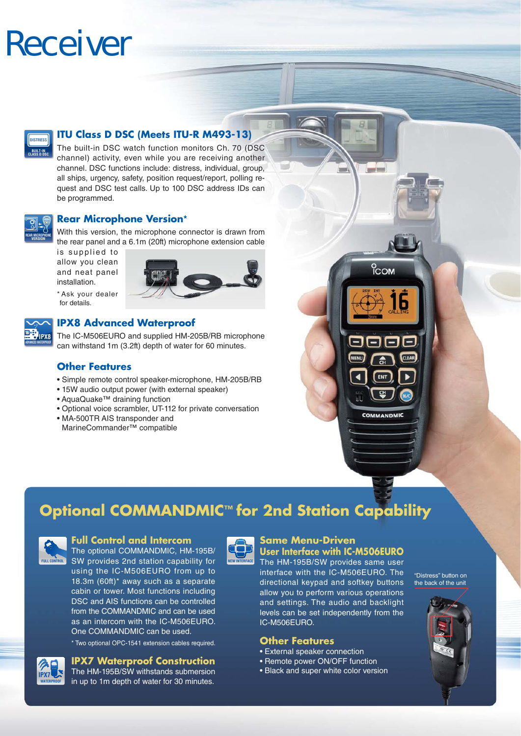## Receiver



## **ITU Class D DSC (Meets ITU-R M493-13)**

The built-in DSC watch function monitors Ch. 70 (DSC channel) activity, even while you are receiving another channel. DSC functions include: distress, individual, group, all ships, urgency, safety, position request/report, polling request and DSC test calls. Up to 100 DSC address IDs can be programmed.



**ADVANCED WATERPROOF IPX8**

## **Rear Microphone Version\***

With this version, the microphone connector is drawn from the rear panel and a 6.1m (20ft) microphone extension cable

is supplied to allow you clean and neat panel installation.

\* Ask your dealer for details.



## **IPX8 Advanced Waterproof**

The IC-M506EURO and supplied HM-205B/RB microphone can withstand 1m (3.2ft) depth of water for 60 minutes.

## **Other Features**

- Simple remote control speaker-microphone, HM-205B/RB
- 15W audio output power (with external speaker)
- AquaQuake™ draining function
- Optional voice scrambler, UT-112 for private conversation
- MA-500TR AIS transponder and MarineCommander™ compatible





## **Full Control and Intercom**

The optional COMMANDMIC, HM-195B/ **FULL CONTROL** SW provides 2nd station capability for **NEW INTERFACE** using the IC-M506EURO from up to 18.3m (60ft)\* away such as a separate cabin or tower. Most functions including DSC and AIS functions can be controlled from the COMMANDMIC and can be used as an intercom with the IC-M506EURO. One COMMANDMIC can be used.

\* Two optional OPC-1541 extension cables required.

## **IPX7 Waterproof Construction**



The HM-195B/SW withstands submersion in up to 1m depth of water for 30 minutes.



## **Same Menu-Driven**

**User Interface with IC-M506EURO** The HM-195B/SW provides same user interface with the IC-M506EURO. The directional keypad and softkey buttons allow you to perform various operations and settings. The audio and backlight levels can be set independently from the IC-M506EURO.

 $-1$ 

ісом

COMMANDMIC

- 
- Remote power ON/OFF function
- Black and super white color version

"Distress" button on the back of the unit